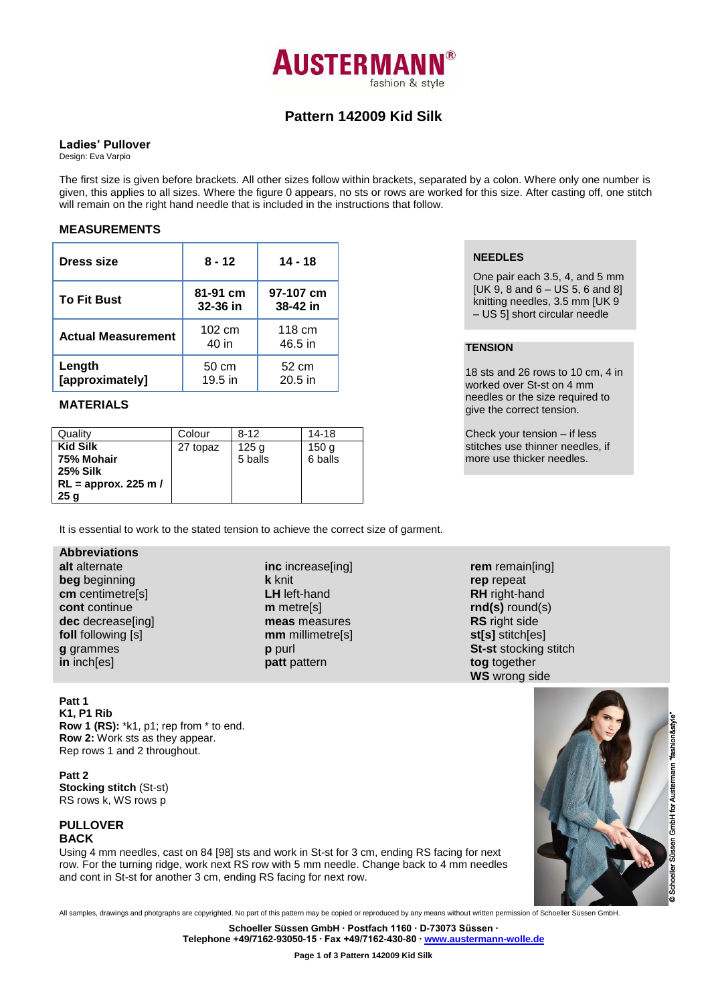

# **Pattern 142009 Kid Silk**

#### **Ladies' Pullover**

Design: Eva Varpio

The first size is given before brackets. All other sizes follow within brackets, separated by a colon. Where only one number is given, this applies to all sizes. Where the figure 0 appears, no sts or rows are worked for this size. After casting off, one stitch will remain on the right hand needle that is included in the instructions that follow.

## **MEASUREMENTS**

| Dress size                | 8 - 12                    | 14 - 18               |  |
|---------------------------|---------------------------|-----------------------|--|
| <b>To Fit Bust</b>        | 81-91 cm<br>$32 - 36$ in  | 97-107 cm<br>38-42 in |  |
| <b>Actual Measurement</b> | $102 \text{ cm}$<br>40 in | 118 cm<br>46.5 in     |  |
| Length<br>[approximately] | 50 cm<br>$19.5$ in        | 52 cm<br>$20.5$ in    |  |

## **MATERIALS**

| Quality                | Colour   | $8-12$  | 14-18            |
|------------------------|----------|---------|------------------|
| <b>Kid Silk</b>        | 27 topaz | 125 g   | 150 <sub>g</sub> |
| 75% Mohair             |          | 5 balls | 6 balls          |
| <b>25% Silk</b>        |          |         |                  |
| $RL =$ approx. 225 m / |          |         |                  |
| 25q                    |          |         |                  |

## **NEEDLES**

One pair each 3.5, 4, and 5 mm [UK 9, 8 and  $6 - US 5$ , 6 and 8] knitting needles, 3.5 mm [UK 9 – US 5] short circular needle

# **TENSION**

18 sts and 26 rows to 10 cm, 4 in worked over St-st on 4 mm needles or the size required to give the correct tension.

Check your tension – if less stitches use thinner needles, if more use thicker needles.

It is essential to work to the stated tension to achieve the correct size of garment.

## **Abbreviations**

**alt** alternate **beg** beginning **cm** centimetre[s] **cont** continue **dec** decrease[ing] **foll** following [s] **g** grammes **in** inch[es]

**inc** increase[ing] **k** knit **LH** left-hand **m** metre[s] **meas** measures **mm** millimetre[s] **p** purl **patt** pattern

**rem** remain[ing] **rep** repeat **RH** right-hand **rnd(s)** round(s) **RS** right side **st[s]** stitch[es] **St-st** stocking stitch **tog** together **WS** wrong side

#### **Patt 1**

**K1, P1 Rib Row 1 (RS):** \*k1, p1; rep from \* to end. **Row 2:** Work sts as they appear. Rep rows 1 and 2 throughout.

**Patt 2 Stocking stitch** (St-st) RS rows k, WS rows p

## **PULLOVER BACK**

Using 4 mm needles, cast on 84 [98] sts and work in St-st for 3 cm, ending RS facing for next row. For the turning ridge, work next RS row with 5 mm needle. Change back to 4 mm needles and cont in St-st for another 3 cm, ending RS facing for next row.



All samples, drawings and photgraphs are copyrighted. No part of this pattern may be copied or reproduced by any means without written permission of Schoeller Süssen GmbH.

**Schoeller Süssen GmbH ∙ Postfach 1160 ∙ D-73073 Süssen ∙**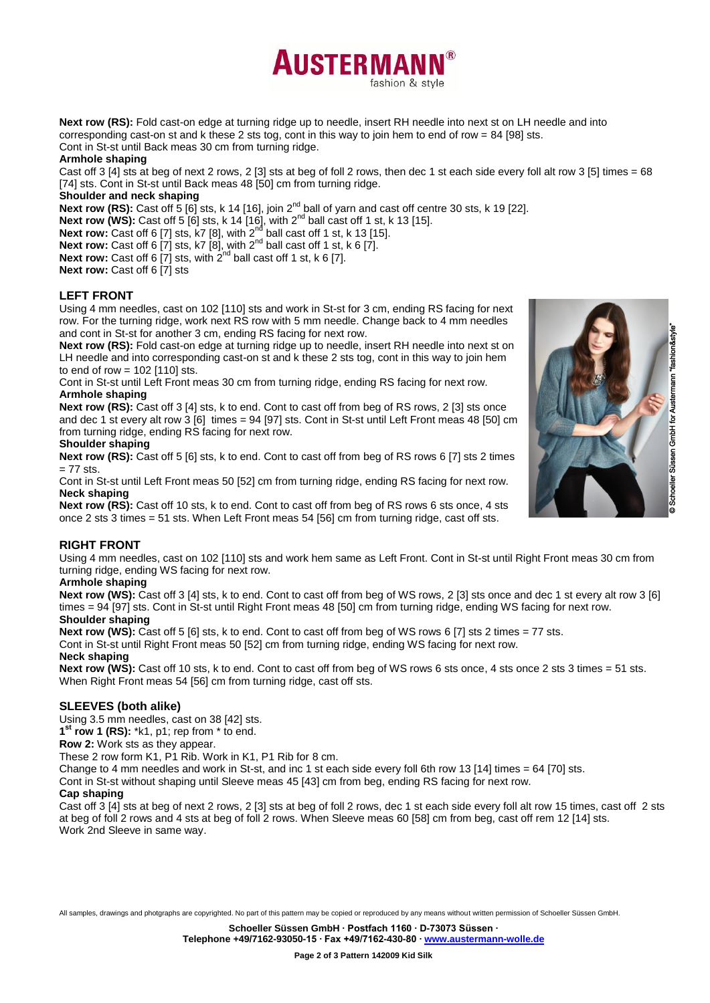



**AUSTERMAN** 

fashion & style

Cont in St-st until Back meas 30 cm from turning ridge.

#### **Armhole shaping**

Cast off 3 [4] sts at beg of next 2 rows, 2 [3] sts at beg of foll 2 rows, then dec 1 st each side every foll alt row 3 [5] times = 68 [74] sts. Cont in St-st until Back meas 48 [50] cm from turning ridge.

## **Shoulder and neck shaping**

Next row (RS): Cast off 5 [6] sts, k 14 [16], join 2<sup>nd</sup> ball of yarn and cast off centre 30 sts, k 19 [22].

**Next row (WS):** Cast off 5 [6] sts, k 14 [16], with  $2^{nd}$  ball cast off 1 st, k 13 [15].

**Next row:** Cast off 6 [7] sts, k7 [8], with  $2^{nd}$  ball cast off 1 st, k 13 [15].

**Next row:** Cast off 6 [7] sts, k7 [8], with  $2^{nd}$  ball cast off 1 st, k 6 [7].

**Next row:** Cast off 6  $\overline{7}$  sts, with  $2^{nd}$  ball cast off 1 st, k 6  $\overline{7}$ .

**Next row:** Cast off 6 [7] sts

## **LEFT FRONT**

Using 4 mm needles, cast on 102 [110] sts and work in St-st for 3 cm, ending RS facing for next row. For the turning ridge, work next RS row with 5 mm needle. Change back to 4 mm needles and cont in St-st for another 3 cm, ending RS facing for next row.

**Next row (RS):** Fold cast-on edge at turning ridge up to needle, insert RH needle into next st on LH needle and into corresponding cast-on st and k these 2 sts tog, cont in this way to join hem to end of row =  $102$  [110] sts.

Cont in St-st until Left Front meas 30 cm from turning ridge, ending RS facing for next row. **Armhole shaping**

**Next row (RS):** Cast off 3 [4] sts, k to end. Cont to cast off from beg of RS rows, 2 [3] sts once and dec 1 st every alt row 3 [6] times = 94 [97] sts. Cont in St-st until Left Front meas 48 [50] cm from turning ridge, ending RS facing for next row.

#### **Shoulder shaping**

**Next row (RS):** Cast off 5 [6] sts, k to end. Cont to cast off from beg of RS rows 6 [7] sts 2 times  $= 77$  sts.

Cont in St-st until Left Front meas 50 [52] cm from turning ridge, ending RS facing for next row. **Neck shaping**

**Next row (RS):** Cast off 10 sts, k to end. Cont to cast off from beg of RS rows 6 sts once, 4 sts once 2 sts 3 times = 51 sts. When Left Front meas 54 [56] cm from turning ridge, cast off sts.

## **RIGHT FRONT**

Using 4 mm needles, cast on 102 [110] sts and work hem same as Left Front. Cont in St-st until Right Front meas 30 cm from turning ridge, ending WS facing for next row.

## **Armhole shaping**

**Next row (WS):** Cast off 3 [4] sts, k to end. Cont to cast off from beg of WS rows, 2 [3] sts once and dec 1 st every alt row 3 [6] times = 94 [97] sts. Cont in St-st until Right Front meas 48 [50] cm from turning ridge, ending WS facing for next row. **Shoulder shaping**

**Next row (WS):** Cast off 5 [6] sts, k to end. Cont to cast off from beg of WS rows 6 [7] sts 2 times = 77 sts.

Cont in St-st until Right Front meas 50 [52] cm from turning ridge, ending WS facing for next row.

#### **Neck shaping**

**Next row (WS):** Cast off 10 sts, k to end. Cont to cast off from beg of WS rows 6 sts once, 4 sts once 2 sts 3 times = 51 sts. When Right Front meas 54 [56] cm from turning ridge, cast off sts.

## **SLEEVES (both alike)**

Using 3.5 mm needles, cast on 38 [42] sts.

**1 st row 1 (RS):** \*k1, p1; rep from \* to end.

**Row 2:** Work sts as they appear.

These 2 row form K1, P1 Rib. Work in K1, P1 Rib for 8 cm.

Change to 4 mm needles and work in St-st, and inc 1 st each side every foll 6th row 13 [14] times = 64 [70] sts.

Cont in St-st without shaping until Sleeve meas 45 [43] cm from beg, ending RS facing for next row.

#### **Cap shaping**

Cast off 3 [4] sts at beg of next 2 rows, 2 [3] sts at beg of foll 2 rows, dec 1 st each side every foll alt row 15 times, cast off 2 sts at beg of foll 2 rows and 4 sts at beg of foll 2 rows. When Sleeve meas 60 [58] cm from beg, cast off rem 12 [14] sts. Work 2nd Sleeve in same way.

All samples, drawings and photgraphs are copyrighted. No part of this pattern may be copied or reproduced by any means without written permission of Schoeller Süssen GmbH.

**Schoeller Süssen GmbH ∙ Postfach 1160 ∙ D-73073 Süssen ∙**

**Telephone +49/7162-93050-15 ∙ Fax +49/7162-430-80 ∙ [www.austermann-wolle.de](http://www.austermann-wolle.de/)**